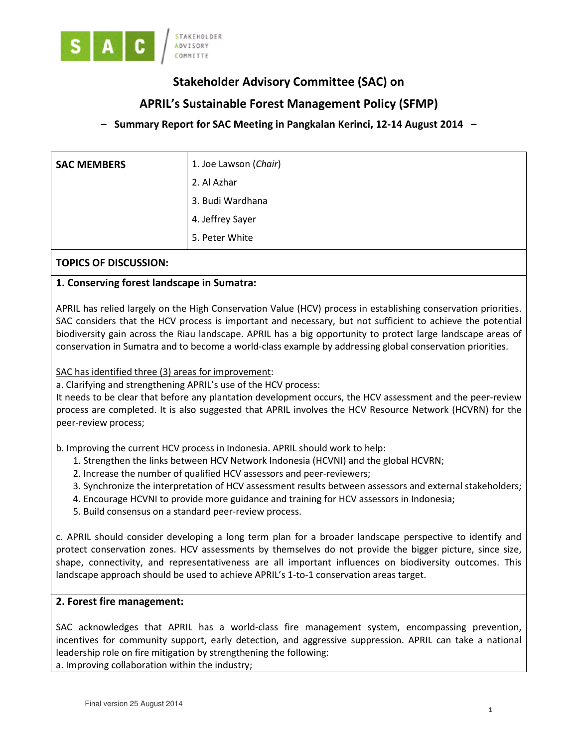

# Stakeholder Advisory Committee (SAC) on

## APRIL's Sustainable Forest Management Policy (SFMP)

## – Summary Report for SAC Meeting in Pangkalan Kerinci, 12-14 August 2014 –

| <b>SAC MEMBERS</b> | 1. Joe Lawson (Chair) |
|--------------------|-----------------------|
|                    | 2. Al Azhar           |
|                    | 3. Budi Wardhana      |
|                    | 4. Jeffrey Sayer      |
|                    | 5. Peter White        |

## TOPICS OF DISCUSSION:

## 1. Conserving forest landscape in Sumatra:

APRIL has relied largely on the High Conservation Value (HCV) process in establishing conservation priorities. SAC considers that the HCV process is important and necessary, but not sufficient to achieve the potential biodiversity gain across the Riau landscape. APRIL has a big opportunity to protect large landscape areas of conservation in Sumatra and to become a world-class example by addressing global conservation priorities.

SAC has identified three (3) areas for improvement:

a. Clarifying and strengthening APRIL's use of the HCV process:

It needs to be clear that before any plantation development occurs, the HCV assessment and the peer-review process are completed. It is also suggested that APRIL involves the HCV Resource Network (HCVRN) for the peer-review process;

b. Improving the current HCV process in Indonesia. APRIL should work to help:

- 1. Strengthen the links between HCV Network Indonesia (HCVNI) and the global HCVRN;
- 2. Increase the number of qualified HCV assessors and peer-reviewers;
- 3. Synchronize the interpretation of HCV assessment results between assessors and external stakeholders;
- 4. Encourage HCVNI to provide more guidance and training for HCV assessors in Indonesia;
- 5. Build consensus on a standard peer-review process.

c. APRIL should consider developing a long term plan for a broader landscape perspective to identify and protect conservation zones. HCV assessments by themselves do not provide the bigger picture, since size, shape, connectivity, and representativeness are all important influences on biodiversity outcomes. This landscape approach should be used to achieve APRIL's 1-to-1 conservation areas target.

#### 2. Forest fire management:

SAC acknowledges that APRIL has a world-class fire management system, encompassing prevention, incentives for community support, early detection, and aggressive suppression. APRIL can take a national leadership role on fire mitigation by strengthening the following: a. Improving collaboration within the industry;

Final version 25 August 2014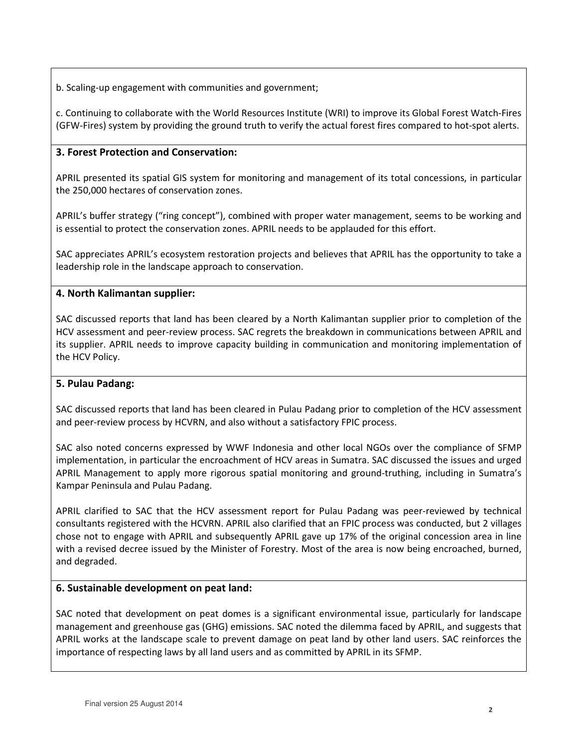b. Scaling-up engagement with communities and government;

c. Continuing to collaborate with the World Resources Institute (WRI) to improve its Global Forest Watch-Fires (GFW-Fires) system by providing the ground truth to verify the actual forest fires compared to hot-spot alerts.

## 3. Forest Protection and Conservation:

APRIL presented its spatial GIS system for monitoring and management of its total concessions, in particular the 250,000 hectares of conservation zones.

APRIL's buffer strategy ("ring concept"), combined with proper water management, seems to be working and is essential to protect the conservation zones. APRIL needs to be applauded for this effort.

SAC appreciates APRIL's ecosystem restoration projects and believes that APRIL has the opportunity to take a leadership role in the landscape approach to conservation.

## 4. North Kalimantan supplier:

SAC discussed reports that land has been cleared by a North Kalimantan supplier prior to completion of the HCV assessment and peer-review process. SAC regrets the breakdown in communications between APRIL and its supplier. APRIL needs to improve capacity building in communication and monitoring implementation of the HCV Policy.

#### 5. Pulau Padang:

SAC discussed reports that land has been cleared in Pulau Padang prior to completion of the HCV assessment and peer-review process by HCVRN, and also without a satisfactory FPIC process.

SAC also noted concerns expressed by WWF Indonesia and other local NGOs over the compliance of SFMP implementation, in particular the encroachment of HCV areas in Sumatra. SAC discussed the issues and urged APRIL Management to apply more rigorous spatial monitoring and ground-truthing, including in Sumatra's Kampar Peninsula and Pulau Padang.

APRIL clarified to SAC that the HCV assessment report for Pulau Padang was peer-reviewed by technical consultants registered with the HCVRN. APRIL also clarified that an FPIC process was conducted, but 2 villages chose not to engage with APRIL and subsequently APRIL gave up 17% of the original concession area in line with a revised decree issued by the Minister of Forestry. Most of the area is now being encroached, burned, and degraded.

#### 6. Sustainable development on peat land:

SAC noted that development on peat domes is a significant environmental issue, particularly for landscape management and greenhouse gas (GHG) emissions. SAC noted the dilemma faced by APRIL, and suggests that APRIL works at the landscape scale to prevent damage on peat land by other land users. SAC reinforces the importance of respecting laws by all land users and as committed by APRIL in its SFMP.